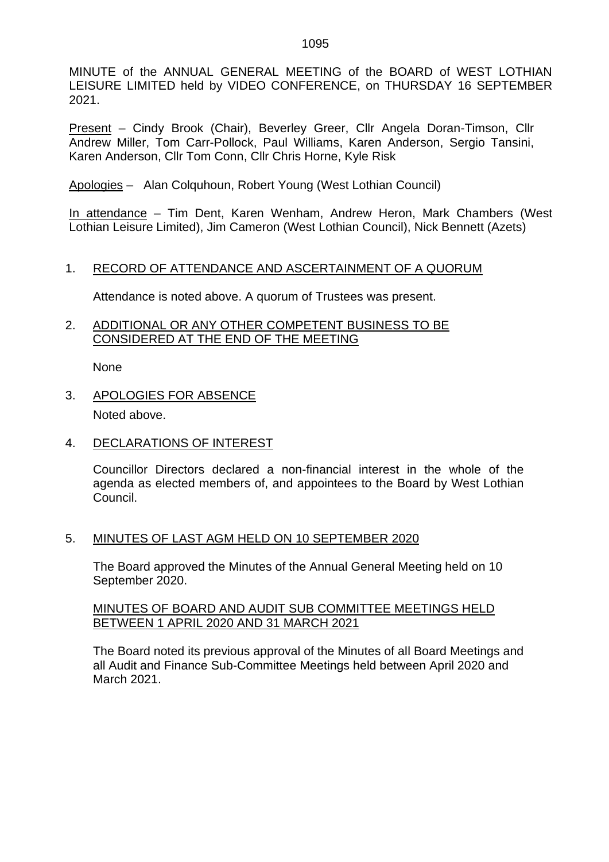MINUTE of the ANNUAL GENERAL MEETING of the BOARD of WEST LOTHIAN LEISURE LIMITED held by VIDEO CONFERENCE, on THURSDAY 16 SEPTEMBER 2021.

Present – Cindy Brook (Chair), Beverley Greer, Cllr Angela Doran-Timson, Cllr Andrew Miller, Tom Carr-Pollock, Paul Williams, Karen Anderson, Sergio Tansini, Karen Anderson, Cllr Tom Conn, Cllr Chris Horne, Kyle Risk

Apologies – Alan Colquhoun, Robert Young (West Lothian Council)

In attendance – Tim Dent, Karen Wenham, Andrew Heron, Mark Chambers (West Lothian Leisure Limited), Jim Cameron (West Lothian Council), Nick Bennett (Azets)

# 1. RECORD OF ATTENDANCE AND ASCERTAINMENT OF A QUORUM

Attendance is noted above. A quorum of Trustees was present.

#### 2. ADDITIONAL OR ANY OTHER COMPETENT BUSINESS TO BE CONSIDERED AT THE END OF THE MEETING

None

- 3. APOLOGIES FOR ABSENCE Noted above.
- 4. DECLARATIONS OF INTEREST

Councillor Directors declared a non-financial interest in the whole of the agenda as elected members of, and appointees to the Board by West Lothian Council.

## 5. MINUTES OF LAST AGM HELD ON 10 SEPTEMBER 2020

The Board approved the Minutes of the Annual General Meeting held on 10 September 2020.

#### MINUTES OF BOARD AND AUDIT SUB COMMITTEE MEETINGS HELD BETWEEN 1 APRIL 2020 AND 31 MARCH 2021

The Board noted its previous approval of the Minutes of all Board Meetings and all Audit and Finance Sub-Committee Meetings held between April 2020 and March 2021.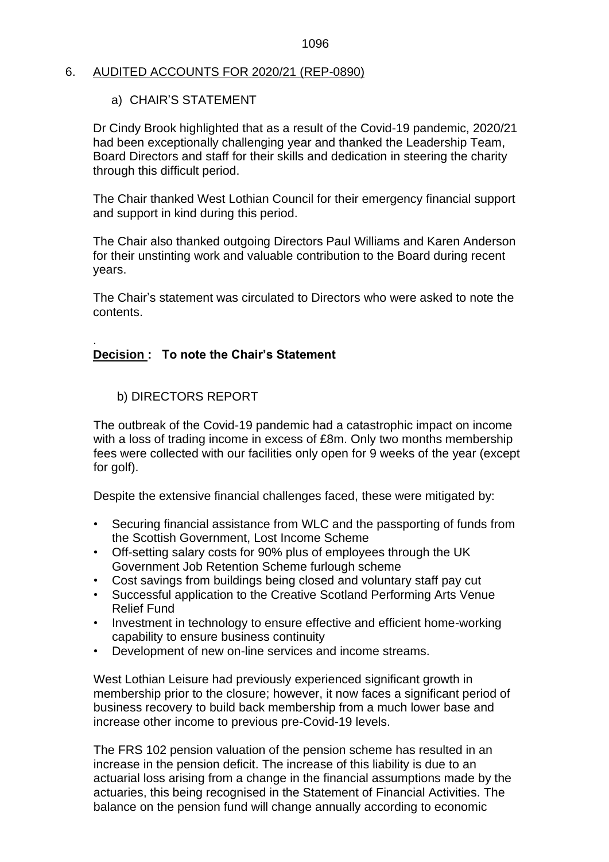#### 1096

#### 6. AUDITED ACCOUNTS FOR 2020/21 (REP-0890)

#### a) CHAIR'S STATEMENT

Dr Cindy Brook highlighted that as a result of the Covid-19 pandemic, 2020/21 had been exceptionally challenging year and thanked the Leadership Team, Board Directors and staff for their skills and dedication in steering the charity through this difficult period.

The Chair thanked West Lothian Council for their emergency financial support and support in kind during this period.

The Chair also thanked outgoing Directors Paul Williams and Karen Anderson for their unstinting work and valuable contribution to the Board during recent years.

The Chair's statement was circulated to Directors who were asked to note the contents.

#### . **Decision : To note the Chair's Statement**

#### b) DIRECTORS REPORT

The outbreak of the Covid-19 pandemic had a catastrophic impact on income with a loss of trading income in excess of £8m. Only two months membership fees were collected with our facilities only open for 9 weeks of the year (except for golf).

Despite the extensive financial challenges faced, these were mitigated by:

- Securing financial assistance from WLC and the passporting of funds from the Scottish Government, Lost Income Scheme
- Off-setting salary costs for 90% plus of employees through the UK Government Job Retention Scheme furlough scheme
- Cost savings from buildings being closed and voluntary staff pay cut
- Successful application to the Creative Scotland Performing Arts Venue Relief Fund
- Investment in technology to ensure effective and efficient home-working capability to ensure business continuity
- Development of new on-line services and income streams.

West Lothian Leisure had previously experienced significant growth in membership prior to the closure; however, it now faces a significant period of business recovery to build back membership from a much lower base and increase other income to previous pre-Covid-19 levels.

The FRS 102 pension valuation of the pension scheme has resulted in an increase in the pension deficit. The increase of this liability is due to an actuarial loss arising from a change in the financial assumptions made by the actuaries, this being recognised in the Statement of Financial Activities. The balance on the pension fund will change annually according to economic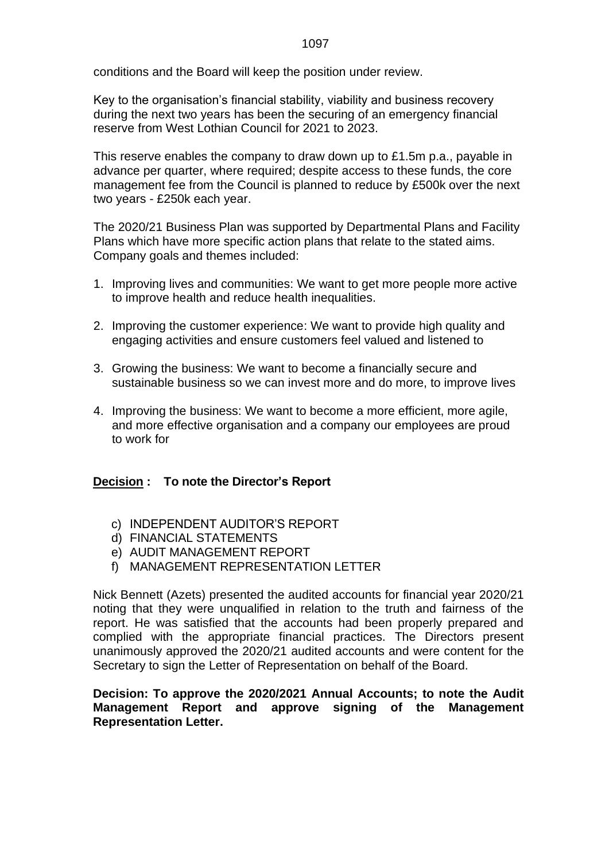conditions and the Board will keep the position under review.

Key to the organisation's financial stability, viability and business recovery during the next two years has been the securing of an emergency financial reserve from West Lothian Council for 2021 to 2023.

This reserve enables the company to draw down up to £1.5m p.a., payable in advance per quarter, where required; despite access to these funds, the core management fee from the Council is planned to reduce by £500k over the next two years - £250k each year.

The 2020/21 Business Plan was supported by Departmental Plans and Facility Plans which have more specific action plans that relate to the stated aims. Company goals and themes included:

- 1. Improving lives and communities: We want to get more people more active to improve health and reduce health inequalities.
- 2. Improving the customer experience: We want to provide high quality and engaging activities and ensure customers feel valued and listened to
- 3. Growing the business: We want to become a financially secure and sustainable business so we can invest more and do more, to improve lives
- 4. Improving the business: We want to become a more efficient, more agile, and more effective organisation and a company our employees are proud to work for

## **Decision : To note the Director's Report**

- c) INDEPENDENT AUDITOR'S REPORT
- d) FINANCIAL STATEMENTS
- e) AUDIT MANAGEMENT REPORT
- f) MANAGEMENT REPRESENTATION LETTER

Nick Bennett (Azets) presented the audited accounts for financial year 2020/21 noting that they were unqualified in relation to the truth and fairness of the report. He was satisfied that the accounts had been properly prepared and complied with the appropriate financial practices. The Directors present unanimously approved the 2020/21 audited accounts and were content for the Secretary to sign the Letter of Representation on behalf of the Board.

#### **Decision: To approve the 2020/2021 Annual Accounts; to note the Audit Management Report and approve signing of the Management Representation Letter.**